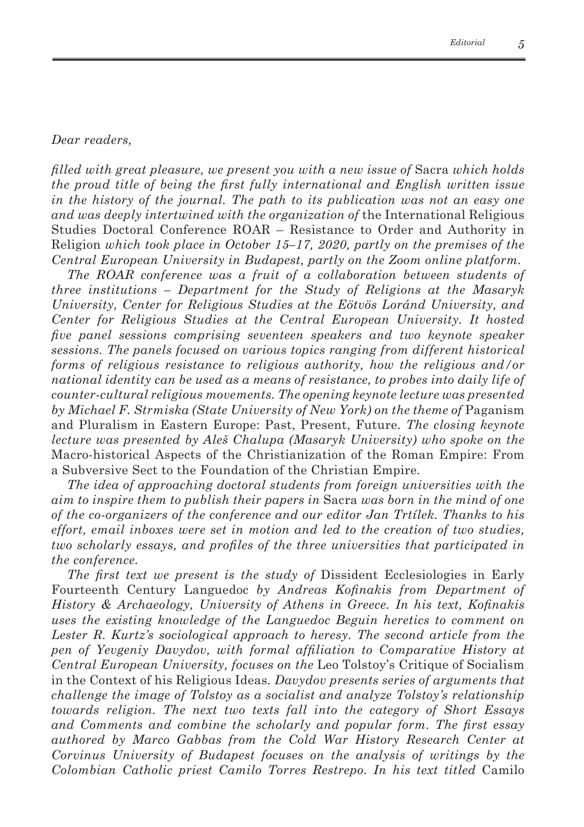## *Dear readers,*

*filled with great pleasure, we present you with a new issue of* Sacra *which holds the proud title of being the first fully international and English written issue in the history of the journal. The path to its publication was not an easy one and was deeply intertwined with the organization of* the International Religious Studies Doctoral Conference ROAR – Resistance to Order and Authority in Religion *which took place in October 15–17, 2020, partly on the premises of the Central European University in Budapest, partly on the Zoom online platform.*

*The ROAR conference was a fruit of a collaboration between students of three institutions – Department for the Study of Religions at the Masaryk University, Center for Religious Studies at the Eötvös Loránd University, and Center for Religious Studies at the Central European University. It hosted five panel sessions comprising seventeen speakers and two keynote speaker sessions. The panels focused on various topics ranging from different historical forms of religious resistance to religious authority, how the religious and/or national identity can be used as a means of resistance, to probes into daily life of counter-cultural religious movements. The opening keynote lecture was presented by Michael F. Strmiska (State University of New York) on the theme of* Paganism and Pluralism in Eastern Europe: Past, Present, Future*. The closing keynote lecture was presented by Aleš Chalupa (Masaryk University) who spoke on the* Macro-historical Aspects of the Christianization of the Roman Empire: From a Subversive Sect to the Foundation of the Christian Empire*.*

*The idea of approaching doctoral students from foreign universities with the aim to inspire them to publish their papers in* Sacra *was born in the mind of one of the co-organizers of the conference and our editor Jan Trtílek. Thanks to his effort, email inboxes were set in motion and led to the creation of two studies, two scholarly essays, and profiles of the three universities that participated in the conference.*

*The first text we present is the study of* Dissident Ecclesiologies in Early Fourteenth Century Languedoc *by Andreas Kofinakis from Department of History & Archaeology, University of Athens in Greece. In his text, Kofinakis uses the existing knowledge of the Languedoc Beguin heretics to comment on Lester R. Kurtz's sociological approach to heresy. The second article from the pen of Yevgeniy Davydov, with formal affiliation to Comparative History at Central European University, focuses on the* Leo Tolstoy's Critique of Socialism in the Context of his Religious Ideas*. Davydov presents series of arguments that challenge the image of Tolstoy as a socialist and analyze Tolstoy's relationship towards religion. The next two texts fall into the category of Short Essays and Comments and combine the scholarly and popular form. The first essay authored by Marco Gabbas from the Cold War History Research Center at Corvinus University of Budapest focuses on the analysis of writings by the Colombian Catholic priest Camilo Torres Restrepo. In his text titled* Camilo